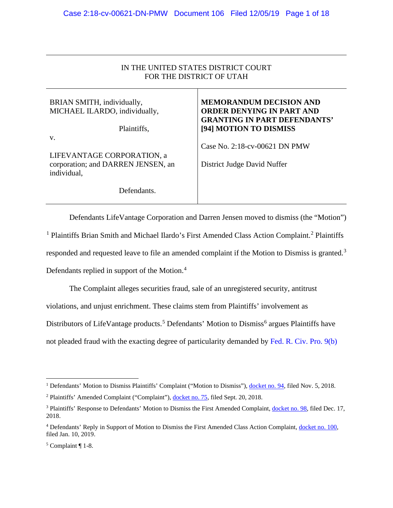# IN THE UNITED STATES DISTRICT COURT FOR THE DISTRICT OF UTAH

| BRIAN SMITH, individually,<br>MICHAEL ILARDO, individually,<br>Plaintiffs,      | <b>MEMORANDUM DECISION AND</b><br><b>ORDER DENYING IN PART AND</b><br><b>GRANTING IN PART DEFENDANTS'</b><br>[94] MOTION TO DISMISS |
|---------------------------------------------------------------------------------|-------------------------------------------------------------------------------------------------------------------------------------|
| V.                                                                              |                                                                                                                                     |
| LIFEVANTAGE CORPORATION, a<br>corporation; and DARREN JENSEN, an<br>individual, | Case No. 2:18-cv-00621 DN PMW<br>District Judge David Nuffer                                                                        |
| Defendants.                                                                     |                                                                                                                                     |

Defendants LifeVantage Corporation and Darren Jensen moved to dismiss (the "Motion") <sup>[1](#page-0-0)</sup> Plaintiffs Brian Smith and Michael Ilardo's First Amended Class Action Complaint.<sup>[2](#page-0-1)</sup> Plaintiffs responded and requested leave to file an amended complaint if the Motion to Dismiss is granted.[3](#page-0-2) Defendants replied in support of the Motion.<sup>[4](#page-0-3)</sup>

The Complaint alleges securities fraud, sale of an unregistered security, antitrust

violations, and unjust enrichment. These claims stem from Plaintiffs' involvement as

Distributors of LifeVantage products.<sup>[5](#page-0-4)</sup> Defendants' Motion to Dismiss<sup>[6](#page-0-5)</sup> argues Plaintiffs have

not pleaded fraud with the exacting degree of particularity demanded by [Fed. R. Civ. Pro. 9\(b\)](https://www.westlaw.com/Document/N32A6F0B0B96011D8983DF34406B5929B/View/FullText.html?transitionType=Default&contextData=(sc.Default)&VR=3.0&RS=da3.0)

<span id="page-0-0"></span><sup>&</sup>lt;sup>1</sup> Defendants' Motion to Dismiss Plaintiffs' Complaint ("Motion to Dismiss"), [docket no. 94,](https://ecf.utd.uscourts.gov/doc1/18314469994) filed Nov. 5, 2018.

<span id="page-0-1"></span><sup>2</sup> Plaintiffs' Amended Complaint ("Complaint"), [docket no. 75,](https://ecf.utd.uscourts.gov/doc1/18314428398) filed Sept. 20, 2018.

<span id="page-0-2"></span><sup>3</sup> Plaintiffs' Response to Defendants' Motion to Dismiss the First Amended Complaint, [docket no. 98,](https://ecf.utd.uscourts.gov/doc1/18314506400) filed Dec. 17, 2018.

<span id="page-0-3"></span><sup>4</sup> Defendants' Reply in Support of Motion to Dismiss the First Amended Class Action Complaint, [docket no. 100,](https://ecf.utd.uscourts.gov/doc1/18314522207) filed Jan. 10, 2019.

<span id="page-0-5"></span><span id="page-0-4"></span> $5$  Complaint ¶ 1-8.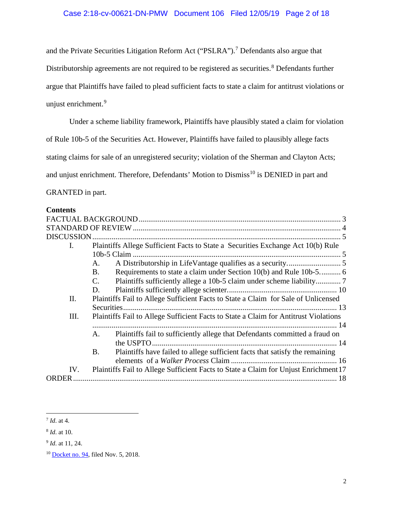# Case 2:18-cv-00621-DN-PMW Document 106 Filed 12/05/19 Page 2 of 18

and the Private Securities Litigation Reform Act ("PSLRA").[7](#page-1-0) Defendants also argue that Distributorship agreements are not required to be registered as securities.<sup>[8](#page-1-1)</sup> Defendants further argue that Plaintiffs have failed to plead sufficient facts to state a claim for antitrust violations or unjust enrichment.<sup>[9](#page-1-2)</sup>

Under a scheme liability framework, Plaintiffs have plausibly stated a claim for violation

of Rule 10b-5 of the Securities Act. However, Plaintiffs have failed to plausibly allege facts

stating claims for sale of an unregistered security; violation of the Sherman and Clayton Acts;

and unjust enrichment. Therefore, Defendants' Motion to Dismiss<sup>[10](#page-1-3)</sup> is DENIED in part and

GRANTED in part.

### **Contents**

| <b>DISCUSSION</b> |                                                                                           |  |
|-------------------|-------------------------------------------------------------------------------------------|--|
| L.                | Plaintiffs Allege Sufficient Facts to State a Securities Exchange Act 10(b) Rule          |  |
|                   | A.                                                                                        |  |
|                   | Requirements to state a claim under Section 10(b) and Rule 10b-5 6<br><b>B.</b>           |  |
|                   | C.                                                                                        |  |
|                   | D.                                                                                        |  |
| Π.                | Plaintiffs Fail to Allege Sufficient Facts to State a Claim for Sale of Unlicensed        |  |
|                   |                                                                                           |  |
| Ш.                | Plaintiffs Fail to Allege Sufficient Facts to State a Claim for Antitrust Violations      |  |
|                   |                                                                                           |  |
|                   | Plaintiffs fail to sufficiently allege that Defendants committed a fraud on<br>A.         |  |
|                   |                                                                                           |  |
|                   | Plaintiffs have failed to allege sufficient facts that satisfy the remaining<br><b>B.</b> |  |
|                   |                                                                                           |  |
| IV.               | Plaintiffs Fail to Allege Sufficient Facts to State a Claim for Unjust Enrichment 17      |  |
| ORDER.            |                                                                                           |  |

### <span id="page-1-0"></span><sup>7</sup> *Id*. at 4.

<span id="page-1-1"></span><sup>8</sup> *Id*. at 10.

<span id="page-1-2"></span><sup>9</sup> *Id*. at 11, 24.

<span id="page-1-3"></span><sup>&</sup>lt;sup>10</sup> [Docket no. 94,](https://ecf.utd.uscourts.gov/doc1/18314469994) filed Nov. 5, 2018.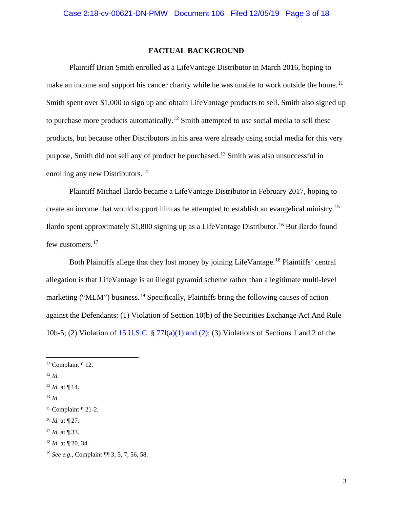## **FACTUAL BACKGROUND**

<span id="page-2-0"></span>Plaintiff Brian Smith enrolled as a LifeVantage Distributor in March 2016, hoping to make an income and support his cancer charity while he was unable to work outside the home.<sup>[11](#page-2-1)</sup> Smith spent over \$1,000 to sign up and obtain LifeVantage products to sell. Smith also signed up to purchase more products automatically.<sup>[12](#page-2-2)</sup> Smith attempted to use social media to sell these products, but because other Distributors in his area were already using social media for this very purpose, Smith did not sell any of product he purchased.<sup>[13](#page-2-3)</sup> Smith was also unsuccessful in enrolling any new Distributors.<sup>[14](#page-2-4)</sup>

Plaintiff Michael Ilardo became a LifeVantage Distributor in February 2017, hoping to create an income that would support him as he attempted to establish an evangelical ministry.<sup>[15](#page-2-5)</sup> Ilardo spent approximately \$1,800 signing up as a LifeVantage Distributor.<sup>[16](#page-2-6)</sup> But Ilardo found few customers.<sup>[17](#page-2-7)</sup>

Both Plaintiffs allege that they lost money by joining LifeVantage.<sup>[18](#page-2-8)</sup> Plaintiffs' central allegation is that LifeVantage is an illegal pyramid scheme rather than a legitimate multi-level marketing ("MLM") business.<sup>[19](#page-2-9)</sup> Specifically, Plaintiffs bring the following causes of action against the Defendants: (1) Violation of Section 10(b) of the Securities Exchange Act And Rule 10b-5; (2) Violation of [15 U.S.C. § 77l\(a\)\(1\) and \(2\);](https://www.westlaw.com/Document/NB6FD5BF0AFF711D8803AE0632FEDDFBF/View/FullText.html?transitionType=Default&contextData=(sc.Default)&VR=3.0&RS=da3.0) (3) Violations of Sections 1 and 2 of the

<span id="page-2-6"></span><sup>16</sup> *Id.* at ¶ 27.

<span id="page-2-1"></span> $11$  Complaint ¶ 12.

<span id="page-2-2"></span><sup>12</sup> *Id.*

<span id="page-2-3"></span><sup>13</sup> *Id.* at ¶ 14.

<span id="page-2-4"></span><sup>14</sup> *Id.*

<span id="page-2-5"></span> $15$  Complaint ¶ 21-2.

<span id="page-2-7"></span><sup>17</sup> *Id.* at ¶ 33.

<span id="page-2-8"></span><sup>18</sup> *Id.* at ¶ 20, 34.

<span id="page-2-9"></span><sup>19</sup> *See e.g.*, Complaint ¶¶ 3, 5, 7, 56, 58.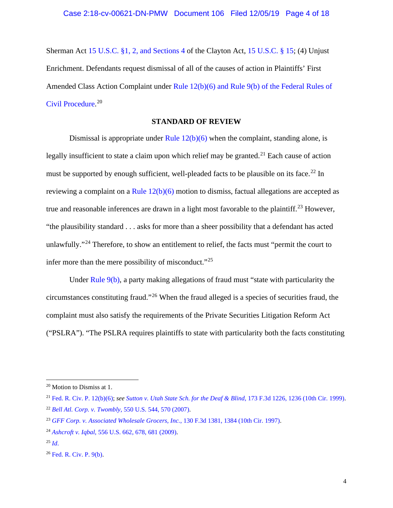Sherman Act [15 U.S.C. §1, 2, and Sections 4](https://www.westlaw.com/Document/NB4507CE0C61B11D88FBB8E80AE8753F1/View/FullText.html?transitionType=Default&contextData=(sc.Default)&VR=3.0&RS=da3.0) of the Clayton Act, [15 U.S.C. § 15;](https://www.westlaw.com/Document/NBCFB5340AFF711D8803AE0632FEDDFBF/View/FullText.html?transitionType=Default&contextData=(sc.Default)&VR=3.0&RS=da3.0) (4) Unjust Enrichment. Defendants request dismissal of all of the causes of action in Plaintiffs' First Amended Class Action Complaint under [Rule 12\(b\)\(6\) and Rule 9\(b\) of the Federal Rules of](https://www.westlaw.com/Document/N96C8CD1043A111DC8D9EC9ECEEDEF2EE/View/FullText.html?transitionType=Default&contextData=(sc.Default)&VR=3.0&RS=da3.0)  [Civil Procedure.](https://www.westlaw.com/Document/N96C8CD1043A111DC8D9EC9ECEEDEF2EE/View/FullText.html?transitionType=Default&contextData=(sc.Default)&VR=3.0&RS=da3.0) [20](#page-3-1)

# **STANDARD OF REVIEW**

<span id="page-3-0"></span>Dismissal is appropriate under Rule  $12(b)(6)$  when the complaint, standing alone, is legally insufficient to state a claim upon which relief may be granted.<sup>[21](#page-3-2)</sup> Each cause of action must be supported by enough sufficient, well-pleaded facts to be plausible on its face.<sup>[22](#page-3-3)</sup> In reviewing a complaint on a Rule  $12(b)(6)$  motion to dismiss, factual allegations are accepted as true and reasonable inferences are drawn in a light most favorable to the plaintiff.<sup>[23](#page-3-4)</sup> However, "the plausibility standard . . . asks for more than a sheer possibility that a defendant has acted unlawfully."[24](#page-3-5) Therefore, to show an entitlement to relief, the facts must "permit the court to infer more than the mere possibility of misconduct."[25](#page-3-6)

Under [Rule 9\(b\),](https://www.westlaw.com/Document/N32A6F0B0B96011D8983DF34406B5929B/View/FullText.html?transitionType=Default&contextData=(sc.Default)&VR=3.0&RS=da3.0) a party making allegations of fraud must "state with particularity the circumstances constituting fraud."[26](#page-3-7) When the fraud alleged is a species of securities fraud, the complaint must also satisfy the requirements of the Private Securities Litigation Reform Act ("PSLRA"). "The PSLRA requires plaintiffs to state with particularity both the facts constituting

<span id="page-3-1"></span><sup>20</sup> Motion to Dismiss at 1.

<span id="page-3-2"></span><sup>21</sup> [Fed. R. Civ. P. 12\(b\)\(6\);](https://www.westlaw.com/Document/N96C8CD1043A111DC8D9EC9ECEEDEF2EE/View/FullText.html?transitionType=Default&contextData=(sc.Default)&VR=3.0&RS=da3.0) *se[e Sutton v. Utah State Sch. for the Deaf & Blind](https://www.westlaw.com/Document/Ie0996fd1948a11d993e6d35cc61aab4a/View/FullText.html?transitionType=Default&contextData=(sc.Default)&VR=3.0&RS=da3.0&fragmentIdentifier=co_pp_sp_506_1236)*, 173 F.3d 1226, 1236 (10th Cir. 1999). <sup>22</sup> *Bell Atl. Corp. v. Twombly*[, 550 U.S. 544, 570 \(2007\).](https://www.westlaw.com/Document/Ib53eb62e07a011dcb035bac3a32ef289/View/FullText.html?transitionType=Default&contextData=(sc.Default)&VR=3.0&RS=da3.0&fragmentIdentifier=co_pp_sp_780_570)

<span id="page-3-4"></span><span id="page-3-3"></span><sup>23</sup> *[GFF Corp. v. Associated Wholesale Grocers, Inc.](https://www.westlaw.com/Document/I451446e3943311d9bc61beebb95be672/View/FullText.html?transitionType=Default&contextData=(sc.Default)&VR=3.0&RS=da3.0&fragmentIdentifier=co_pp_sp_506_1384)*, 130 F.3d 1381, 1384 (10th Cir. 1997).

<span id="page-3-5"></span><sup>24</sup> *Ashcroft v. Iqbal*[, 556 U.S. 662, 678, 681 \(2009\).](https://www.westlaw.com/Document/I90623386439011de8bf6cd8525c41437/View/FullText.html?transitionType=Default&contextData=(sc.Default)&VR=3.0&RS=da3.0&fragmentIdentifier=co_pp_sp_780_678%2c+681)

<span id="page-3-6"></span> $^{25}$  *[Id](https://www.westlaw.com/Document/I90623386439011de8bf6cd8525c41437/View/FullText.html?transitionType=Default&contextData=(sc.Default)&VR=3.0&RS=da3.0).* 

<span id="page-3-7"></span><sup>26</sup> [Fed. R. Civ. P. 9\(b\).](https://www.westlaw.com/Document/N32A6F0B0B96011D8983DF34406B5929B/View/FullText.html?transitionType=Default&contextData=(sc.Default)&VR=3.0&RS=da3.0)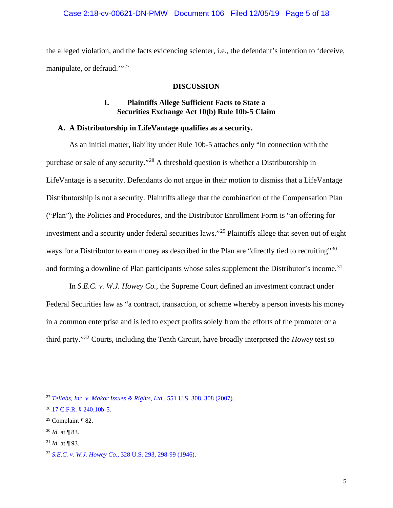#### Case 2:18-cv-00621-DN-PMW Document 106 Filed 12/05/19 Page 5 of 18

<span id="page-4-0"></span>the alleged violation, and the facts evidencing scienter, i.e., the defendant's intention to 'deceive, manipulate, or defraud."<sup>[27](#page-4-3)</sup>

### **DISCUSSION**

## **I. Plaintiffs Allege Sufficient Facts to State a Securities Exchange Act 10(b) Rule 10b-5 Claim**

### <span id="page-4-2"></span><span id="page-4-1"></span>**A. A Distributorship in LifeVantage qualifies as a security.**

As an initial matter, liability under Rule 10b-5 attaches only "in connection with the purchase or sale of any security."[28](#page-4-4) A threshold question is whether a Distributorship in LifeVantage is a security. Defendants do not argue in their motion to dismiss that a LifeVantage Distributorship is not a security. Plaintiffs allege that the combination of the Compensation Plan ("Plan"), the Policies and Procedures, and the Distributor Enrollment Form is "an offering for investment and a security under federal securities laws."[29](#page-4-5) Plaintiffs allege that seven out of eight ways for a Distributor to earn money as described in the Plan are "directly tied to recruiting"<sup>[30](#page-4-6)</sup> and forming a downline of Plan participants whose sales supplement the Distributor's income.<sup>[31](#page-4-7)</sup>

In *S.E.C. v. W.J. Howey Co.*, the Supreme Court defined an investment contract under Federal Securities law as "a contract, transaction, or scheme whereby a person invests his money in a common enterprise and is led to expect profits solely from the efforts of the promoter or a third party."[32](#page-4-8) Courts, including the Tenth Circuit, have broadly interpreted the *Howey* test so

<span id="page-4-3"></span><sup>27</sup> *[Tellabs, Inc. v. Makor Issues & Rights, Ltd.](https://www.westlaw.com/Document/Ic37dd7791fdd11dc9b239dfedc9bb45f/View/FullText.html?transitionType=Default&contextData=(sc.Default)&VR=3.0&RS=da3.0&fragmentIdentifier=co_pp_sp_780_308)*, 551 U.S. 308, 308 (2007).

<span id="page-4-4"></span><sup>28</sup> [17 C.F.R. § 240.10b-5.](https://www.westlaw.com/Document/N28489A608B3311D98CF4E0B65F42E6DA/View/FullText.html?transitionType=Default&contextData=(sc.Default)&VR=3.0&RS=da3.0)

<span id="page-4-5"></span> $29$  Complaint ¶ 82.

<span id="page-4-6"></span><sup>30</sup> *Id.* at ¶ 83.

<span id="page-4-7"></span> $31$  *Id.* at ¶ 93.

<span id="page-4-8"></span><sup>32</sup> *S.E.C. v. W.J. Howey Co.*[, 328 U.S. 293, 298-99 \(1946\).](https://www.westlaw.com/Document/I22292b4f9bf011d993e6d35cc61aab4a/View/FullText.html?transitionType=Default&contextData=(sc.Default)&VR=3.0&RS=da3.0&fragmentIdentifier=co_pp_sp_780_298)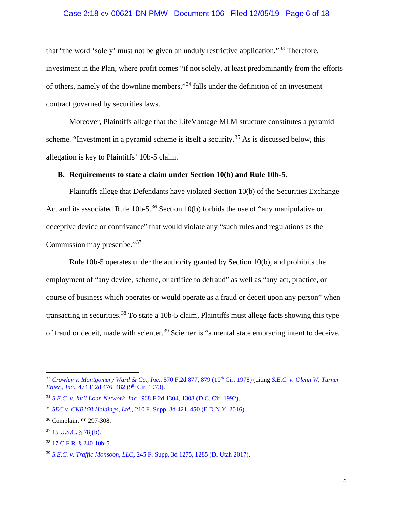#### Case 2:18-cv-00621-DN-PMW Document 106 Filed 12/05/19 Page 6 of 18

that "the word 'solely' must not be given an unduly restrictive application."[33](#page-5-1) Therefore, investment in the Plan, where profit comes "if not solely, at least predominantly from the efforts of others, namely of the downline members,"[34](#page-5-2) falls under the definition of an investment contract governed by securities laws.

Moreover, Plaintiffs allege that the LifeVantage MLM structure constitutes a pyramid scheme. "Investment in a pyramid scheme is itself a security.<sup>[35](#page-5-3)</sup> As is discussed below, this allegation is key to Plaintiffs' 10b-5 claim.

# <span id="page-5-0"></span>**B. Requirements to state a claim under Section 10(b) and Rule 10b-5.**

Plaintiffs allege that Defendants have violated Section 10(b) of the Securities Exchange Act and its associated Rule 10b-5.<sup>[36](#page-5-4)</sup> Section 10(b) forbids the use of "any manipulative or deceptive device or contrivance" that would violate any "such rules and regulations as the Commission may prescribe."<sup>[37](#page-5-5)</sup>

Rule 10b-5 operates under the authority granted by Section 10(b), and prohibits the employment of "any device, scheme, or artifice to defraud" as well as "any act, practice, or course of business which operates or would operate as a fraud or deceit upon any person" when transacting in securities.<sup>[38](#page-5-6)</sup> To state a 10b-5 claim, Plaintiffs must allege facts showing this type of fraud or deceit, made with scienter.<sup>[39](#page-5-7)</sup> Scienter is "a mental state embracing intent to deceive,

<span id="page-5-1"></span><sup>&</sup>lt;sup>33</sup> [Crowley v. Montgomery Ward & Co., Inc.](https://www.westlaw.com/Document/I4eff7a37914f11d98e8fb00d6c6a02dd/View/FullText.html?transitionType=Default&contextData=(sc.Default)&VR=3.0&RS=da3.0&fragmentIdentifier=co_pp_sp_350_879), 570 F.2d 877, 879 (10<sup>th</sup> Cir. 1978) (citing *[S.E.C. v. Glenn W. Turner](https://www.westlaw.com/Document/Icdef154a900e11d9bc61beebb95be672/View/FullText.html?transitionType=Default&contextData=(sc.Default)&VR=3.0&RS=da3.0&fragmentIdentifier=co_pp_sp_350_482) Enter., Inc., 474 F.2d 476, 482 (9<sup>th</sup> Cir. 1973).* 

<span id="page-5-2"></span><sup>34</sup> *S.E.C. v. Int'l Loan Network, Inc.*[, 968 F.2d 1304, 1308 \(D.C. Cir. 1992\).](https://www.westlaw.com/Document/I80915a0094d311d9a707f4371c9c34f0/View/FullText.html?transitionType=Default&contextData=(sc.Default)&VR=3.0&RS=da3.0&fragmentIdentifier=co_pp_sp_350_1308)

<span id="page-5-3"></span><sup>35</sup> *SEC v. CKB168 Holdings, Ltd.*[, 210 F. Supp. 3d 421, 450 \(E.D.N.Y. 2016\)](https://www.westlaw.com/Document/I65471850b38111e6bdb7b23a3c66d5b3/View/FullText.html?transitionType=Default&contextData=(sc.Default)&VR=3.0&RS=da3.0&fragmentIdentifier=co_pp_sp_7903_450)

<span id="page-5-4"></span><sup>36</sup> Complaint ¶¶ 297-308.

<span id="page-5-5"></span><sup>37</sup> [15 U.S.C. § 78j\(b\).](https://www.westlaw.com/Document/N9C85A200993711E1AE6FE4A65DEDF017/View/FullText.html?transitionType=Default&contextData=(sc.Default)&VR=3.0&RS=da3.0)

<span id="page-5-6"></span><sup>38</sup> [17 C.F.R. § 240.10b-5.](https://www.westlaw.com/Document/N28489A608B3311D98CF4E0B65F42E6DA/View/FullText.html?transitionType=Default&contextData=(sc.Default)&VR=3.0&RS=da3.0)

<span id="page-5-7"></span><sup>39</sup> *S.E.C. v. Traffic Monsoon, LLC*[, 245 F. Supp. 3d 1275, 1285 \(D. Utah 2017\).](https://www.westlaw.com/Document/Ic2e4f860154211e79de0d9b9354e8e59/View/FullText.html?transitionType=Default&contextData=(sc.Default)&VR=3.0&RS=da3.0&fragmentIdentifier=co_pp_sp_7903_1285)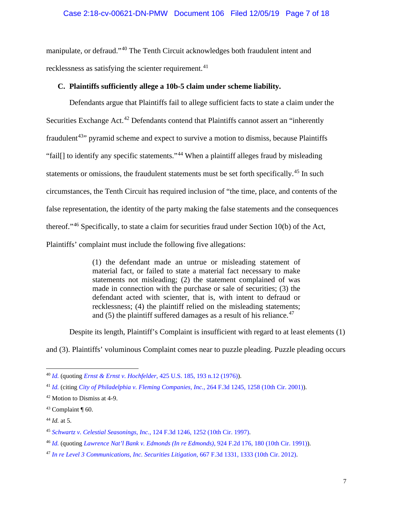### Case 2:18-cv-00621-DN-PMW Document 106 Filed 12/05/19 Page 7 of 18

manipulate, or defraud."[40](#page-6-1) The Tenth Circuit acknowledges both fraudulent intent and recklessness as satisfying the scienter requirement.<sup>[41](#page-6-2)</sup>

### <span id="page-6-0"></span>**C. Plaintiffs sufficiently allege a 10b-5 claim under scheme liability.**

Defendants argue that Plaintiffs fail to allege sufficient facts to state a claim under the Securities Exchange Act.<sup>[42](#page-6-3)</sup> Defendants contend that Plaintiffs cannot assert an "inherently fraudulent<sup> $43$ </sup>" pyramid scheme and expect to survive a motion to dismiss, because Plaintiffs "fail[] to identify any specific statements."[44](#page-6-5) When a plaintiff alleges fraud by misleading statements or omissions, the fraudulent statements must be set forth specifically.<sup>[45](#page-6-6)</sup> In such circumstances, the Tenth Circuit has required inclusion of "the time, place, and contents of the false representation, the identity of the party making the false statements and the consequences thereof."[46](#page-6-7) Specifically, to state a claim for securities fraud under Section 10(b) of the Act, Plaintiffs' complaint must include the following five allegations:

> (1) the defendant made an untrue or misleading statement of material fact, or failed to state a material fact necessary to make statements not misleading; (2) the statement complained of was made in connection with the purchase or sale of securities; (3) the defendant acted with scienter, that is, with intent to defraud or recklessness; (4) the plaintiff relied on the misleading statements; and  $(5)$  the plaintiff suffered damages as a result of his reliance.<sup>[47](#page-6-8)</sup>

Despite its length, Plaintiff's Complaint is insufficient with regard to at least elements (1)

and (3). Plaintiffs' voluminous Complaint comes near to puzzle pleading. Puzzle pleading occurs

<span id="page-6-1"></span><sup>40</sup> *[Id.](https://www.westlaw.com/Document/Ic2e4f860154211e79de0d9b9354e8e59/View/FullText.html?transitionType=Default&contextData=(sc.Default)&VR=3.0&RS=da3.0)* (quoting *Ernst & Ernst v. Hochfelder*[, 425 U.S. 185, 193 n.12 \(1976\)\)](https://www.westlaw.com/Document/Ice9d19e39c9611d993e6d35cc61aab4a/View/FullText.html?transitionType=Default&contextData=(sc.Default)&VR=3.0&RS=da3.0&fragmentIdentifier=co_pp_sp_780_193+n.12).

<span id="page-6-2"></span><sup>41</sup> *[Id.](https://www.westlaw.com/Document/Ice9d19e39c9611d993e6d35cc61aab4a/View/FullText.html?transitionType=Default&contextData=(sc.Default)&VR=3.0&RS=da3.0)* (citing *[City of Philadelphia v. Fleming Companies, Inc.](https://www.westlaw.com/Document/I13229c1279bf11d9ac1ffa9f33b6c3b0/View/FullText.html?transitionType=Default&contextData=(sc.Default)&VR=3.0&RS=da3.0&fragmentIdentifier=co_pp_sp_506_1258)*, 264 F.3d 1245, 1258 (10th Cir. 2001)).

<span id="page-6-3"></span><sup>42</sup> Motion to Dismiss at 4-9.

<span id="page-6-4"></span> $43$  Complaint ¶ 60.

<span id="page-6-5"></span><sup>44</sup> *Id.* at 5.

<span id="page-6-6"></span><sup>45</sup> *Schwartz v. Celestial Seasonings, Inc.*[, 124 F.3d 1246, 1252 \(10th Cir. 1997\).](https://www.westlaw.com/Document/I6901c047942a11d993e6d35cc61aab4a/View/FullText.html?transitionType=Default&contextData=(sc.Default)&VR=3.0&RS=da3.0&fragmentIdentifier=co_pp_sp_506_1252)

<span id="page-6-7"></span><sup>46</sup> *[Id.](https://www.westlaw.com/Document/I6901c047942a11d993e6d35cc61aab4a/View/FullText.html?transitionType=Default&contextData=(sc.Default)&VR=3.0&RS=da3.0)* (quoting *[Lawrence Nat'l Bank v. Edmonds \(In re Edmonds\)](https://www.westlaw.com/Document/Iec0ebb0b968711d9bc61beebb95be672/View/FullText.html?transitionType=Default&contextData=(sc.Default)&VR=3.0&RS=da3.0&fragmentIdentifier=co_pp_sp_350_180)*, 924 F.2d 176, 180 (10th Cir. 1991)).

<span id="page-6-8"></span><sup>47</sup> *[In re Level 3 Communications, Inc. Securities Litigation](https://www.westlaw.com/Document/I1eb3a3a8514811e1a11e96c51301c5ef/View/FullText.html?transitionType=Default&contextData=(sc.Default)&VR=3.0&RS=da3.0&fragmentIdentifier=co_pp_sp_506_1333)*, 667 F.3d 1331, 1333 (10th Cir. 2012).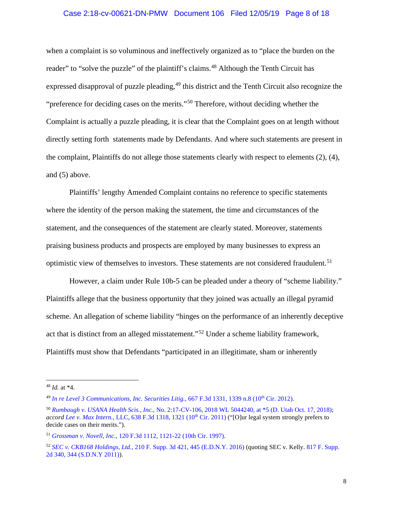#### Case 2:18-cv-00621-DN-PMW Document 106 Filed 12/05/19 Page 8 of 18

when a complaint is so voluminous and ineffectively organized as to "place the burden on the reader" to "solve the puzzle" of the plaintiff's claims.<sup>[48](#page-7-0)</sup> Although the Tenth Circuit has expressed disapproval of puzzle pleading,  $49$  this district and the Tenth Circuit also recognize the "preference for deciding cases on the merits."[50](#page-7-2) Therefore, without deciding whether the Complaint is actually a puzzle pleading, it is clear that the Complaint goes on at length without directly setting forth statements made by Defendants. And where such statements are present in the complaint, Plaintiffs do not allege those statements clearly with respect to elements (2), (4), and (5) above.

Plaintiffs' lengthy Amended Complaint contains no reference to specific statements where the identity of the person making the statement, the time and circumstances of the statement, and the consequences of the statement are clearly stated. Moreover, statements praising business products and prospects are employed by many businesses to express an optimistic view of themselves to investors. These statements are not considered fraudulent.<sup>[51](#page-7-3)</sup>

However, a claim under Rule 10b-5 can be pleaded under a theory of "scheme liability." Plaintiffs allege that the business opportunity that they joined was actually an illegal pyramid scheme. An allegation of scheme liability "hinges on the performance of an inherently deceptive act that is distinct from an alleged misstatement."[52](#page-7-4) Under a scheme liability framework, Plaintiffs must show that Defendants "participated in an illegitimate, sham or inherently

<span id="page-7-0"></span><sup>48</sup> *Id.* at \*4.

<span id="page-7-1"></span><sup>&</sup>lt;sup>49</sup> [In re Level 3 Communications, Inc. Securities Litig.](https://www.westlaw.com/Document/I1eb3a3a8514811e1a11e96c51301c5ef/View/FullText.html?transitionType=Default&contextData=(sc.Default)&VR=3.0&RS=da3.0&fragmentIdentifier=co_pp_sp_506_1339+n.8), 667 F.3d 1331, 1339 n.8 (10<sup>th</sup> Cir. 2012).

<span id="page-7-2"></span><sup>50</sup> *Rumbaugh v. USANA Health Scis., Inc.*[, No. 2:17-CV-106, 2018 WL 5044240, at \\*5 \(D. Utah Oct. 17, 2018\);](https://www.westlaw.com/Document/I2d9616b0d2b311e88f4d8d23fc0d7c2b/View/FullText.html?transitionType=Default&contextData=(sc.Default)&VR=3.0&RS=da3.0&fragmentIdentifier=co_pp_sp_999_5) *accord Lee v. Max Intern.*, LLC, 638 F.3d 1318, 1321 (10<sup>th</sup> Cir. 2011) ("[O]ur legal system strongly prefers to decide cases on their merits.").

<span id="page-7-3"></span><sup>51</sup> *Grossman v. Novell, Inc.*[, 120 F.3d 1112, 1121-22 \(10th Cir. 1997\).](https://www.westlaw.com/Document/I7fdf17b4942811d9a707f4371c9c34f0/View/FullText.html?transitionType=Default&contextData=(sc.Default)&VR=3.0&RS=da3.0&fragmentIdentifier=co_pp_sp_506_1121)

<span id="page-7-4"></span><sup>52</sup> *SEC v. CKB168 Holdings, Ltd.*[, 210 F. Supp. 3d 421, 445 \(E.D.N.Y. 2016\)](https://www.westlaw.com/Document/I65471850b38111e6bdb7b23a3c66d5b3/View/FullText.html?transitionType=Default&contextData=(sc.Default)&VR=3.0&RS=da3.0&fragmentIdentifier=co_pp_sp_7903_445) (quoting SEC v. Kelly[. 817 F. Supp.](https://www.westlaw.com/Document/I00b92ff1e63011e0be8fdb5fa26a1033/View/FullText.html?transitionType=Default&contextData=(sc.Default)&VR=3.0&RS=da3.0&fragmentIdentifier=co_pp_sp_4637_201)  [2d 340, 344 \(S.D.N.Y 2011\)\)](https://www.westlaw.com/Document/I00b92ff1e63011e0be8fdb5fa26a1033/View/FullText.html?transitionType=Default&contextData=(sc.Default)&VR=3.0&RS=da3.0&fragmentIdentifier=co_pp_sp_4637_201).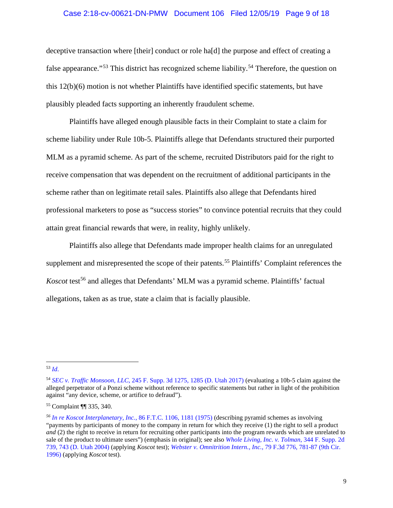#### Case 2:18-cv-00621-DN-PMW Document 106 Filed 12/05/19 Page 9 of 18

deceptive transaction where [their] conduct or role ha[d] the purpose and effect of creating a false appearance."<sup>[53](#page-8-0)</sup> This district has recognized scheme liability.<sup>[54](#page-8-1)</sup> Therefore, the question on this 12(b)(6) motion is not whether Plaintiffs have identified specific statements, but have plausibly pleaded facts supporting an inherently fraudulent scheme.

Plaintiffs have alleged enough plausible facts in their Complaint to state a claim for scheme liability under Rule 10b-5. Plaintiffs allege that Defendants structured their purported MLM as a pyramid scheme. As part of the scheme, recruited Distributors paid for the right to receive compensation that was dependent on the recruitment of additional participants in the scheme rather than on legitimate retail sales. Plaintiffs also allege that Defendants hired professional marketers to pose as "success stories" to convince potential recruits that they could attain great financial rewards that were, in reality, highly unlikely.

Plaintiffs also allege that Defendants made improper health claims for an unregulated supplement and misrepresented the scope of their patents.<sup>[55](#page-8-2)</sup> Plaintiffs' Complaint references the *Koscot* test<sup>[56](#page-8-3)</sup> and alleges that Defendants' MLM was a pyramid scheme. Plaintiffs' factual allegations, taken as as true, state a claim that is facially plausible.

<span id="page-8-0"></span><sup>53</sup> *[Id](https://www.westlaw.com/Document/I00b92ff1e63011e0be8fdb5fa26a1033/View/FullText.html?transitionType=Default&contextData=(sc.Default)&VR=3.0&RS=da3.0)*.

<span id="page-8-1"></span><sup>54</sup> *SEC v. Traffic Monsoon, LLC*[, 245 F. Supp. 3d 1275, 1285 \(D. Utah 2017\)](https://www.westlaw.com/Document/Ic2e4f860154211e79de0d9b9354e8e59/View/FullText.html?transitionType=Default&contextData=(sc.Default)&VR=3.0&RS=da3.0&fragmentIdentifier=co_pp_sp_7903_1285) (evaluating a 10b-5 claim against the alleged perpetrator of a Ponzi scheme without reference to specific statements but rather in light of the prohibition against "any device, scheme, or artifice to defraud").

<span id="page-8-2"></span><sup>55</sup> Complaint ¶¶ 335, 340.

<span id="page-8-3"></span>*<sup>56</sup> [In re Koscot Interplanetary, Inc.](https://www.westlaw.com/Document/I48197a976eef11dbb29ecfd71e79cb92/View/FullText.html?transitionType=Default&contextData=(sc.Default)&VR=3.0&RS=da3.0&fragmentIdentifier=co_pp_sp_1015_1181)*, 86 F.T.C. 1106, 1181 (1975) (describing pyramid schemes as involving "payments by participants of money to the company in return for which they receive (1) the right to sell a product *and* (2) the right to receive in return for recruiting other participants into the program rewards which are unrelated to sale of the product to ultimate users") (emphasis in original); see also *[Whole Living, Inc. v. Tolman](https://www.westlaw.com/Document/Ied8ff158542f11d997e0acd5cbb90d3f/View/FullText.html?transitionType=Default&contextData=(sc.Default)&VR=3.0&RS=da3.0&fragmentIdentifier=co_pp_sp_4637_743)*, 344 F. Supp. 2d [739, 743 \(D. Utah 2004\)](https://www.westlaw.com/Document/Ied8ff158542f11d997e0acd5cbb90d3f/View/FullText.html?transitionType=Default&contextData=(sc.Default)&VR=3.0&RS=da3.0&fragmentIdentifier=co_pp_sp_4637_743) (applying *Koscot* test); *[Webster v. Omnitrition Intern., Inc.](https://www.westlaw.com/Document/I46b5a22b928311d9a707f4371c9c34f0/View/FullText.html?transitionType=Default&contextData=(sc.Default)&VR=3.0&RS=da3.0&fragmentIdentifier=co_pp_sp_506_781)*, 79 F.3d 776, 781-87 (9th Cir. [1996\)](https://www.westlaw.com/Document/I46b5a22b928311d9a707f4371c9c34f0/View/FullText.html?transitionType=Default&contextData=(sc.Default)&VR=3.0&RS=da3.0&fragmentIdentifier=co_pp_sp_506_781) (applying *Koscot* test).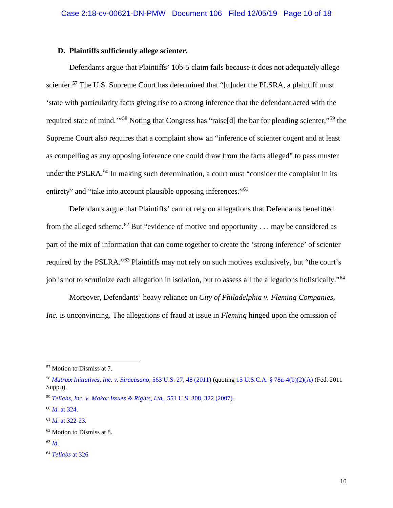### <span id="page-9-0"></span>**D. Plaintiffs sufficiently allege scienter.**

Defendants argue that Plaintiffs' 10b-5 claim fails because it does not adequately allege scienter.<sup>[57](#page-9-1)</sup> The U.S. Supreme Court has determined that "[u]nder the PLSRA, a plaintiff must 'state with particularity facts giving rise to a strong inference that the defendant acted with the required state of mind.'"[58](#page-9-2) Noting that Congress has "raise[d] the bar for pleading scienter,"[59](#page-9-3) the Supreme Court also requires that a complaint show an "inference of scienter cogent and at least as compelling as any opposing inference one could draw from the facts alleged" to pass muster under the PSLRA.<sup>[60](#page-9-4)</sup> In making such determination, a court must "consider the complaint in its entirety" and "take into account plausible opposing inferences."<sup>[61](#page-9-5)</sup>

Defendants argue that Plaintiffs' cannot rely on allegations that Defendants benefitted from the alleged scheme.<sup>[62](#page-9-6)</sup> But "evidence of motive and opportunity . . . may be considered as part of the mix of information that can come together to create the 'strong inference' of scienter required by the PSLRA."[63](#page-9-7) Plaintiffs may not rely on such motives exclusively, but "the court's job is not to scrutinize each allegation in isolation, but to assess all the allegations holistically."<sup>[64](#page-9-8)</sup>

Moreover, Defendants' heavy reliance on *City of Philadelphia v. Fleming Companies, Inc.* is unconvincing. The allegations of fraud at issue in *Fleming* hinged upon the omission of

<span id="page-9-1"></span><sup>57</sup> Motion to Dismiss at 7.

<span id="page-9-2"></span><sup>58</sup> *[Matrixx Initiatives, Inc. v. Siracusano](https://www.westlaw.com/Document/I014fc887546911e085acc3f6d5ffa172/View/FullText.html?transitionType=Default&contextData=(sc.Default)&VR=3.0&RS=da3.0&fragmentIdentifier=co_pp_sp_780_48)*, 563 U.S. 27, 48 (2011) (quoting [15 U.S.C.A. § 78u-4\(b\)\(2\)\(A\)](https://www.westlaw.com/Document/N92AE69E0EC1011DFA838D2D673C5CD26/View/FullText.html?transitionType=Default&contextData=(sc.Default)&VR=3.0&RS=da3.0) (Fed. 2011 Supp.)).

<span id="page-9-3"></span><sup>59</sup> *[Tellabs, Inc. v. Makor Issues & Rights, Ltd.](https://www.westlaw.com/Document/Ic37dd7791fdd11dc9b239dfedc9bb45f/View/FullText.html?transitionType=Default&contextData=(sc.Default)&VR=3.0&RS=da3.0&fragmentIdentifier=co_pp_sp_780_322)*, 551 U.S. 308, 322 (2007).

<span id="page-9-4"></span><sup>60</sup> *Id.* [at 324.](https://www.westlaw.com/Document/Ic37dd7791fdd11dc9b239dfedc9bb45f/View/FullText.html?transitionType=Default&contextData=(sc.Default)&VR=3.0&RS=da3.0&fragmentIdentifier=co_pp_sp_780_324)

<span id="page-9-5"></span><sup>61</sup> *Id.* [at 322-23.](https://www.westlaw.com/Document/Ic37dd7791fdd11dc9b239dfedc9bb45f/View/FullText.html?transitionType=Default&contextData=(sc.Default)&VR=3.0&RS=da3.0&fragmentIdentifier=co_pp_sp_780_322)

<span id="page-9-6"></span><sup>62</sup> Motion to Dismiss at 8.

<span id="page-9-7"></span><sup>63</sup> *[Id](https://www.westlaw.com/Document/Ic37dd7791fdd11dc9b239dfedc9bb45f/View/FullText.html?transitionType=Default&contextData=(sc.Default)&VR=3.0&RS=da3.0)*.

<span id="page-9-8"></span><sup>64</sup> *[Tellabs](https://www.westlaw.com/Document/Ic37dd7791fdd11dc9b239dfedc9bb45f/View/FullText.html?transitionType=Default&contextData=(sc.Default)&VR=3.0&RS=da3.0)* at 326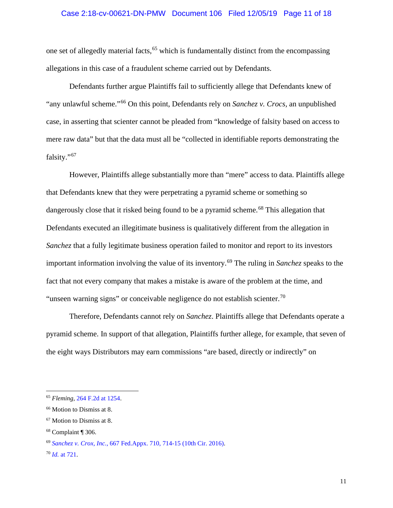#### Case 2:18-cv-00621-DN-PMW Document 106 Filed 12/05/19 Page 11 of 18

one set of allegedly material facts,<sup>[65](#page-10-0)</sup> which is fundamentally distinct from the encompassing allegations in this case of a fraudulent scheme carried out by Defendants.

Defendants further argue Plaintiffs fail to sufficiently allege that Defendants knew of "any unlawful scheme."[66](#page-10-1) On this point, Defendants rely on *Sanchez v. Crocs,* an unpublished case, in asserting that scienter cannot be pleaded from "knowledge of falsity based on access to mere raw data" but that the data must all be "collected in identifiable reports demonstrating the falsity."[67](#page-10-2)

However, Plaintiffs allege substantially more than "mere" access to data. Plaintiffs allege that Defendants knew that they were perpetrating a pyramid scheme or something so dangerously close that it risked being found to be a pyramid scheme.<sup>[68](#page-10-3)</sup> This allegation that Defendants executed an illegitimate business is qualitatively different from the allegation in *Sanchez* that a fully legitimate business operation failed to monitor and report to its investors important information involving the value of its inventory.<sup>[69](#page-10-4)</sup> The ruling in *Sanchez* speaks to the fact that not every company that makes a mistake is aware of the problem at the time, and "unseen warning signs" or conceivable negligence do not establish scienter.<sup>[70](#page-10-5)</sup>

Therefore, Defendants cannot rely on *Sanchez*. Plaintiffs allege that Defendants operate a pyramid scheme. In support of that allegation, Plaintiffs further allege, for example, that seven of the eight ways Distributors may earn commissions "are based, directly or indirectly" on

<span id="page-10-0"></span><sup>65</sup> *Fleming*, [264 F.2d at 1254.](https://www.westlaw.com/Document/Iafdc63308ef811d993e6d35cc61aab4a/View/FullText.html?transitionType=Default&contextData=(sc.Default)&VR=3.0&RS=da3.0)

<span id="page-10-1"></span><sup>66</sup> Motion to Dismiss at 8.

<span id="page-10-2"></span><sup>67</sup> Motion to Dismiss at 8.

<span id="page-10-3"></span><sup>68</sup> Complaint ¶ 306.

<span id="page-10-4"></span><sup>69</sup> *Sanchez v. Crox, Inc.*[, 667 Fed.Appx. 710, 714-15 \(10th Cir. 2016\).](https://www.westlaw.com/Document/Ia5ac40504e2311e68cefc52a15cd8e9f/View/FullText.html?transitionType=Default&contextData=(sc.Default)&VR=3.0&RS=da3.0&fragmentIdentifier=co_pp_sp_6538_714)

<span id="page-10-5"></span><sup>70</sup> *Id.* [at 721.](https://www.westlaw.com/Document/Ia5ac40504e2311e68cefc52a15cd8e9f/View/FullText.html?transitionType=Default&contextData=(sc.Default)&VR=3.0&RS=da3.0&fragmentIdentifier=co_pp_sp_6538_721)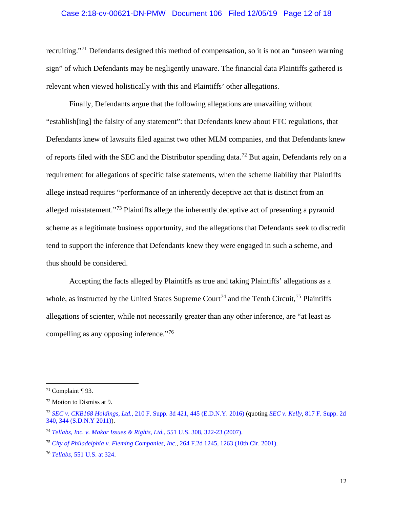#### Case 2:18-cv-00621-DN-PMW Document 106 Filed 12/05/19 Page 12 of 18

recruiting."[71](#page-11-0) Defendants designed this method of compensation, so it is not an "unseen warning sign" of which Defendants may be negligently unaware. The financial data Plaintiffs gathered is relevant when viewed holistically with this and Plaintiffs' other allegations.

Finally, Defendants argue that the following allegations are unavailing without "establish[ing] the falsity of any statement": that Defendants knew about FTC regulations, that Defendants knew of lawsuits filed against two other MLM companies, and that Defendants knew of reports filed with the SEC and the Distributor spending data.<sup>[72](#page-11-1)</sup> But again, Defendants rely on a requirement for allegations of specific false statements, when the scheme liability that Plaintiffs allege instead requires "performance of an inherently deceptive act that is distinct from an alleged misstatement."[73](#page-11-2) Plaintiffs allege the inherently deceptive act of presenting a pyramid scheme as a legitimate business opportunity, and the allegations that Defendants seek to discredit tend to support the inference that Defendants knew they were engaged in such a scheme, and thus should be considered.

Accepting the facts alleged by Plaintiffs as true and taking Plaintiffs' allegations as a whole, as instructed by the United States Supreme Court<sup>[74](#page-11-3)</sup> and the Tenth Circuit,<sup>[75](#page-11-4)</sup> Plaintiffs allegations of scienter, while not necessarily greater than any other inference, are "at least as compelling as any opposing inference."<sup>[76](#page-11-5)</sup>

<span id="page-11-0"></span> $71$  Complaint ¶ 93.

<span id="page-11-1"></span><sup>72</sup> Motion to Dismiss at 9.

<span id="page-11-2"></span><sup>73</sup> *SEC v. CKB168 Holdings, Ltd.*[, 210 F. Supp. 3d 421, 445 \(E.D.N.Y. 2016\)](https://www.westlaw.com/Document/I65471850b38111e6bdb7b23a3c66d5b3/View/FullText.html?transitionType=Default&contextData=(sc.Default)&VR=3.0&RS=da3.0&fragmentIdentifier=co_pp_sp_7903_445) (quoting *[SEC v. Kelly,](https://www.westlaw.com/Document/I00b92ff1e63011e0be8fdb5fa26a1033/View/FullText.html?transitionType=Default&contextData=(sc.Default)&VR=3.0&RS=da3.0&fragmentIdentifier=co_pp_sp_4637_201)* 817 F. Supp. 2d 340, 344 (S.D.N.Y 2011)).

<span id="page-11-3"></span><sup>74</sup> *[Tellabs, Inc. v. Makor Issues & Rights, Ltd.](https://www.westlaw.com/Document/Ic37dd7791fdd11dc9b239dfedc9bb45f/View/FullText.html?transitionType=Default&contextData=(sc.Default)&VR=3.0&RS=da3.0&fragmentIdentifier=co_pp_sp_780_322)*, 551 U.S. 308, 322-23 (2007).

<span id="page-11-4"></span><sup>75</sup> *[City of Philadelphia v. Fleming Companies, Inc.](https://www.westlaw.com/Document/Iafdc63308ef811d993e6d35cc61aab4a/View/FullText.html?transitionType=Default&contextData=(sc.Default)&VR=3.0&RS=da3.0)*, [264 F.2d 1245, 1263 \(10th Cir. 2001\).](https://www.westlaw.com/Document/Iafdc63308ef811d993e6d35cc61aab4a/View/FullText.html?transitionType=Default&contextData=(sc.Default)&VR=3.0&RS=da3.0)

<span id="page-11-5"></span><sup>76</sup> *Tellabs*[, 551 U.S. at 324.](https://www.westlaw.com/Document/Ic37dd7791fdd11dc9b239dfedc9bb45f/View/FullText.html?transitionType=Default&contextData=(sc.Default)&VR=3.0&RS=da3.0&fragmentIdentifier=co_pp_sp_780_324)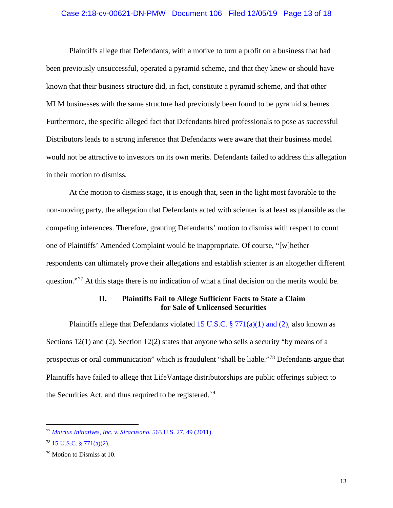#### Case 2:18-cv-00621-DN-PMW Document 106 Filed 12/05/19 Page 13 of 18

Plaintiffs allege that Defendants, with a motive to turn a profit on a business that had been previously unsuccessful, operated a pyramid scheme, and that they knew or should have known that their business structure did, in fact, constitute a pyramid scheme, and that other MLM businesses with the same structure had previously been found to be pyramid schemes. Furthermore, the specific alleged fact that Defendants hired professionals to pose as successful Distributors leads to a strong inference that Defendants were aware that their business model would not be attractive to investors on its own merits. Defendants failed to address this allegation in their motion to dismiss.

At the motion to dismiss stage, it is enough that, seen in the light most favorable to the non-moving party, the allegation that Defendants acted with scienter is at least as plausible as the competing inferences. Therefore, granting Defendants' motion to dismiss with respect to count one of Plaintiffs' Amended Complaint would be inappropriate. Of course, "[w]hether respondents can ultimately prove their allegations and establish scienter is an altogether different question."<sup>[77](#page-12-1)</sup> At this stage there is no indication of what a final decision on the merits would be.

## **II. Plaintiffs Fail to Allege Sufficient Facts to State a Claim for Sale of Unlicensed Securities**

<span id="page-12-0"></span>Plaintiffs allege that Defendants violated 15 U.S.C.  $\S 771(a)(1)$  and (2), also known as Sections 12(1) and (2). Section 12(2) states that anyone who sells a security "by means of a prospectus or oral communication" which is fraudulent "shall be liable."[78](#page-12-2) Defendants argue that Plaintiffs have failed to allege that LifeVantage distributorships are public offerings subject to the Securities Act, and thus required to be registered.<sup>[79](#page-12-3)</sup>

<span id="page-12-1"></span><sup>77</sup> *[Matrixx Initiatives, Inc. v. Siracusano](https://www.westlaw.com/Document/I014fc887546911e085acc3f6d5ffa172/View/FullText.html?transitionType=Default&contextData=(sc.Default)&VR=3.0&RS=da3.0&fragmentIdentifier=co_pp_sp_780_49)*, 563 U.S. 27, 49 (2011).

<span id="page-12-2"></span> $78$  [15 U.S.C. § 771\(a\)\(2\).](https://www.westlaw.com/Document/NC08A6D70AFF711D8803AE0632FEDDFBF/View/FullText.html?transitionType=Default&contextData=(sc.Default)&VR=3.0&RS=da3.0)

<span id="page-12-3"></span><sup>79</sup> Motion to Dismiss at 10.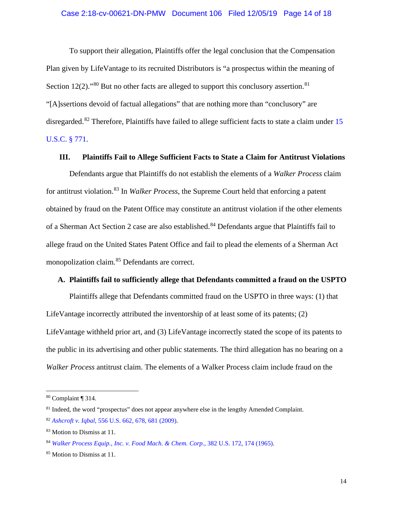#### Case 2:18-cv-00621-DN-PMW Document 106 Filed 12/05/19 Page 14 of 18

To support their allegation, Plaintiffs offer the legal conclusion that the Compensation Plan given by LifeVantage to its recruited Distributors is "a prospectus within the meaning of Section 12(2)."<sup>[80](#page-13-2)</sup> But no other facts are alleged to support this conclusory assertion.<sup>[81](#page-13-3)</sup> "[A]ssertions devoid of factual allegations" that are nothing more than "conclusory" are disregarded.<sup>[82](#page-13-4)</sup> Therefore, Plaintiffs have failed to allege sufficient facts to state a claim under 15 [U.S.C. § 771.](https://www.westlaw.com/Document/NC08A6D70AFF711D8803AE0632FEDDFBF/View/FullText.html?transitionType=Default&contextData=(sc.Default)&VR=3.0&RS=da3.0)

### <span id="page-13-0"></span>**III. Plaintiffs Fail to Allege Sufficient Facts to State a Claim for Antitrust Violations**

Defendants argue that Plaintiffs do not establish the elements of a *Walker Process* claim for antitrust violation.[83](#page-13-5) In *Walker Process*, the Supreme Court held that enforcing a patent obtained by fraud on the Patent Office may constitute an antitrust violation if the other elements of a Sherman Act Section 2 case are also established.<sup>[84](#page-13-6)</sup> Defendants argue that Plaintiffs fail to allege fraud on the United States Patent Office and fail to plead the elements of a Sherman Act monopolization claim.[85](#page-13-7) Defendants are correct.

### <span id="page-13-1"></span>**A. Plaintiffs fail to sufficiently allege that Defendants committed a fraud on the USPTO**

Plaintiffs allege that Defendants committed fraud on the USPTO in three ways: (1) that LifeVantage incorrectly attributed the inventorship of at least some of its patents; (2) LifeVantage withheld prior art, and (3) LifeVantage incorrectly stated the scope of its patents to the public in its advertising and other public statements. The third allegation has no bearing on a *Walker Process* antitrust claim. The elements of a Walker Process claim include fraud on the

<span id="page-13-2"></span><sup>80</sup> Complaint ¶ 314.

<span id="page-13-3"></span><sup>&</sup>lt;sup>81</sup> Indeed, the word "prospectus" does not appear anywhere else in the lengthy Amended Complaint.

<span id="page-13-4"></span><sup>82</sup> *Ashcroft v. Iqbal*[, 556 U.S. 662, 678, 681 \(2009\).](https://www.westlaw.com/Document/I90623386439011de8bf6cd8525c41437/View/FullText.html?transitionType=Default&contextData=(sc.Default)&VR=3.0&RS=da3.0&fragmentIdentifier=co_pp_sp_780_678%2c+681)

<span id="page-13-5"></span><sup>&</sup>lt;sup>83</sup> Motion to Dismiss at 11.

<span id="page-13-6"></span><sup>84</sup> *[Walker Process Equip., Inc. v. Food Mach. & Chem. Corp.](https://www.westlaw.com/Document/I0a3daa179bf011d991d0cc6b54f12d4d/View/FullText.html?transitionType=Default&contextData=(sc.Default)&VR=3.0&RS=da3.0&fragmentIdentifier=co_pp_sp_780_174)*, 382 U.S. 172, 174 (1965).

<span id="page-13-7"></span><sup>&</sup>lt;sup>85</sup> Motion to Dismiss at 11.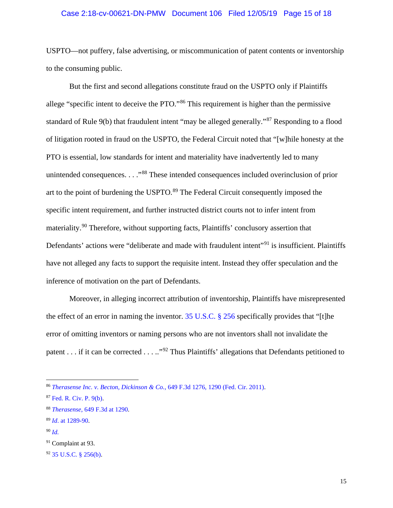#### Case 2:18-cv-00621-DN-PMW Document 106 Filed 12/05/19 Page 15 of 18

USPTO—not puffery, false advertising, or miscommunication of patent contents or inventorship to the consuming public.

But the first and second allegations constitute fraud on the USPTO only if Plaintiffs allege "specific intent to deceive the PTO."<sup>[86](#page-14-0)</sup> This requirement is higher than the permissive standard of Rule 9(b) that fraudulent intent "may be alleged generally."[87](#page-14-1) Responding to a flood of litigation rooted in fraud on the USPTO, the Federal Circuit noted that "[w]hile honesty at the PTO is essential, low standards for intent and materiality have inadvertently led to many unintended consequences. . . ."[88](#page-14-2) These intended consequences included overinclusion of prior art to the point of burdening the USPTO.<sup>[89](#page-14-3)</sup> The Federal Circuit consequently imposed the specific intent requirement, and further instructed district courts not to infer intent from materiality.[90](#page-14-4) Therefore, without supporting facts, Plaintiffs' conclusory assertion that Defendants' actions were "deliberate and made with fraudulent intent"<sup>[91](#page-14-5)</sup> is insufficient. Plaintiffs have not alleged any facts to support the requisite intent. Instead they offer speculation and the inference of motivation on the part of Defendants.

Moreover, in alleging incorrect attribution of inventorship, Plaintiffs have misrepresented the effect of an error in naming the inventor. [35 U.S.C. § 256](https://www.westlaw.com/Document/N26B7A140E67B11E1980BB7181640365D/View/FullText.html?transitionType=Default&contextData=(sc.Default)&VR=3.0&RS=da3.0) specifically provides that "[t]he error of omitting inventors or naming persons who are not inventors shall not invalidate the patent . . . if it can be corrected . . . .."[92](#page-14-6) Thus Plaintiffs' allegations that Defendants petitioned to

<span id="page-14-4"></span><sup>90</sup> *[Id.](https://www.westlaw.com/Document/I0332abd0870a11e0a8a2938374af9660/View/FullText.html?transitionType=Default&contextData=(sc.Default)&VR=3.0&RS=da3.0)*

<span id="page-14-0"></span><sup>86</sup> *[Therasense Inc. v. Becton, Dickinson & Co.](https://www.westlaw.com/Document/I0332abd0870a11e0a8a2938374af9660/View/FullText.html?transitionType=Default&contextData=(sc.Default)&VR=3.0&RS=da3.0&fragmentIdentifier=co_pp_sp_506_1290)*, 649 F.3d 1276, 1290 (Fed. Cir. 2011).

<span id="page-14-1"></span><sup>87</sup> [Fed. R. Civ. P. 9\(b\).](https://www.westlaw.com/Document/N32A6F0B0B96011D8983DF34406B5929B/View/FullText.html?transitionType=Default&contextData=(sc.Default)&VR=3.0&RS=da3.0)

<span id="page-14-2"></span><sup>88</sup> *Therasense*[, 649 F.3d at 1290.](https://www.westlaw.com/Document/I0332abd0870a11e0a8a2938374af9660/View/FullText.html?transitionType=Default&contextData=(sc.Default)&VR=3.0&RS=da3.0&fragmentIdentifier=co_pp_sp_506_1290)

<span id="page-14-3"></span><sup>89</sup> *Id*[. at 1289-90.](https://www.westlaw.com/Document/I0332abd0870a11e0a8a2938374af9660/View/FullText.html?transitionType=Default&contextData=(sc.Default)&VR=3.0&RS=da3.0&fragmentIdentifier=co_pp_sp_506_1289)

<span id="page-14-5"></span><sup>91</sup> Complaint at 93.

<span id="page-14-6"></span><sup>92</sup> [35 U.S.C. § 256\(b\).](https://www.westlaw.com/Document/N26B7A140E67B11E1980BB7181640365D/View/FullText.html?transitionType=Default&contextData=(sc.Default)&VR=3.0&RS=da3.0)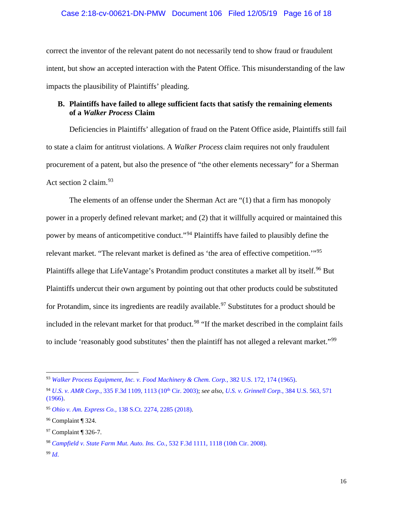correct the inventor of the relevant patent do not necessarily tend to show fraud or fraudulent intent, but show an accepted interaction with the Patent Office. This misunderstanding of the law impacts the plausibility of Plaintiffs' pleading.

# <span id="page-15-0"></span>**B. Plaintiffs have failed to allege sufficient facts that satisfy the remaining elements of a** *Walker Process* **Claim**

Deficiencies in Plaintiffs' allegation of fraud on the Patent Office aside, Plaintiffs still fail to state a claim for antitrust violations. A *Walker Process* claim requires not only fraudulent procurement of a patent, but also the presence of "the other elements necessary" for a Sherman Act section 2 claim.<sup>[93](#page-15-1)</sup>

The elements of an offense under the Sherman Act are "(1) that a firm has monopoly power in a properly defined relevant market; and (2) that it willfully acquired or maintained this power by means of anticompetitive conduct."[94](#page-15-2) Plaintiffs have failed to plausibly define the relevant market. "The relevant market is defined as 'the area of effective competition.'"[95](#page-15-3) Plaintiffs allege that LifeVantage's Protandim product constitutes a market all by itself.<sup>[96](#page-15-4)</sup> But Plaintiffs undercut their own argument by pointing out that other products could be substituted for Protandim, since its ingredients are readily available.<sup>[97](#page-15-5)</sup> Substitutes for a product should be included in the relevant market for that product.<sup>[98](#page-15-6)</sup> "If the market described in the complaint fails to include 'reasonably good substitutes' then the plaintiff has not alleged a relevant market."<sup>[99](#page-15-7)</sup>

<span id="page-15-1"></span><sup>93</sup> *[Walker Process Equipment, Inc. v. Food Machinery & Chem. Corp.](https://www.westlaw.com/Document/I0a3daa179bf011d991d0cc6b54f12d4d/View/FullText.html?transitionType=Default&contextData=(sc.Default)&VR=3.0&RS=da3.0&fragmentIdentifier=co_pp_sp_780_174)*, 382 U.S. 172, 174 (1965).

<span id="page-15-2"></span><sup>94</sup> *U.S. v. AMR Corp.*[, 335 F.3d 1109, 1113 \(10th](https://www.westlaw.com/Document/If9249a1089e211d9b6ea9f5a173c4523/View/FullText.html?transitionType=Default&contextData=(sc.Default)&VR=3.0&RS=da3.0&fragmentIdentifier=co_pp_sp_506_1113) Cir. 2003); *see also*, *[U.S. v. Grinnell Corp.](https://www.westlaw.com/Document/Id4c5607a9c1d11d991d0cc6b54f12d4d/View/FullText.html?transitionType=Default&contextData=(sc.Default)&VR=3.0&RS=da3.0&fragmentIdentifier=co_pp_sp_780_571)*, 384 U.S. 563, 571 [\(1966\).](https://www.westlaw.com/Document/Id4c5607a9c1d11d991d0cc6b54f12d4d/View/FullText.html?transitionType=Default&contextData=(sc.Default)&VR=3.0&RS=da3.0&fragmentIdentifier=co_pp_sp_780_571)

<span id="page-15-3"></span><sup>95</sup> *Ohio v. Am. Express Co.,* [138 S.Ct. 2274, 2285 \(2018\).](https://www.westlaw.com/Document/I6a532254785b11e8bbbcd57aa014637b/View/FullText.html?transitionType=Default&contextData=(sc.Default)&VR=3.0&RS=da3.0&fragmentIdentifier=co_pp_sp_708_2285)

<span id="page-15-4"></span><sup>96</sup> Complaint ¶ 324.

<span id="page-15-5"></span><sup>97</sup> Complaint ¶ 326-7.

<span id="page-15-6"></span><sup>98</sup> *[Campfield v. State Farm Mut. Auto. Ins. Co.](https://www.westlaw.com/Document/Ica56e518529511ddb5cbad29a280d47c/View/FullText.html?transitionType=Default&contextData=(sc.Default)&VR=3.0&RS=da3.0&fragmentIdentifier=co_pp_sp_506_1118)*, 532 F.3d 1111, 1118 (10th Cir. 2008).

<span id="page-15-7"></span><sup>99</sup> *[Id](https://www.westlaw.com/Document/Ica56e518529511ddb5cbad29a280d47c/View/FullText.html?transitionType=Default&contextData=(sc.Default)&VR=3.0&RS=da3.0)*.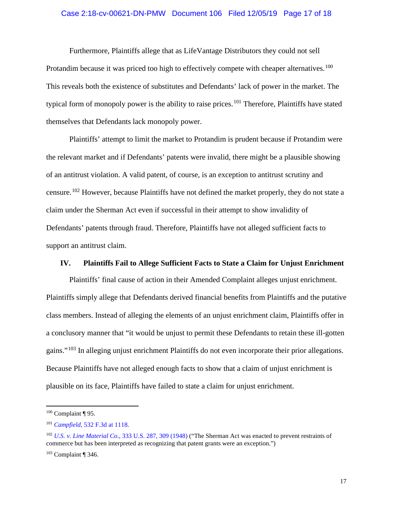#### Case 2:18-cv-00621-DN-PMW Document 106 Filed 12/05/19 Page 17 of 18

Furthermore, Plaintiffs allege that as LifeVantage Distributors they could not sell Protandim because it was priced too high to effectively compete with cheaper alternatives.<sup>[100](#page-16-1)</sup> This reveals both the existence of substitutes and Defendants' lack of power in the market. The typical form of monopoly power is the ability to raise prices.<sup>[101](#page-16-2)</sup> Therefore, Plaintiffs have stated themselves that Defendants lack monopoly power.

Plaintiffs' attempt to limit the market to Protandim is prudent because if Protandim were the relevant market and if Defendants' patents were invalid, there might be a plausible showing of an antitrust violation. A valid patent, of course, is an exception to antitrust scrutiny and censure.[102](#page-16-3) However, because Plaintiffs have not defined the market properly, they do not state a claim under the Sherman Act even if successful in their attempt to show invalidity of Defendants' patents through fraud. Therefore, Plaintiffs have not alleged sufficient facts to support an antitrust claim.

## <span id="page-16-0"></span>**IV. Plaintiffs Fail to Allege Sufficient Facts to State a Claim for Unjust Enrichment**

Plaintiffs' final cause of action in their Amended Complaint alleges unjust enrichment. Plaintiffs simply allege that Defendants derived financial benefits from Plaintiffs and the putative class members. Instead of alleging the elements of an unjust enrichment claim, Plaintiffs offer in a conclusory manner that "it would be unjust to permit these Defendants to retain these ill-gotten gains."[103](#page-16-4) In alleging unjust enrichment Plaintiffs do not even incorporate their prior allegations. Because Plaintiffs have not alleged enough facts to show that a claim of unjust enrichment is plausible on its face, Plaintiffs have failed to state a claim for unjust enrichment.

<span id="page-16-1"></span> $100$  Complaint ¶ 95.

<span id="page-16-2"></span><sup>101</sup> *Campfield*[, 532 F.3d at 1118.](https://www.westlaw.com/Document/Ica56e518529511ddb5cbad29a280d47c/View/FullText.html?transitionType=Default&contextData=(sc.Default)&VR=3.0&RS=da3.0&fragmentIdentifier=co_pp_sp_506_1118)

<span id="page-16-3"></span><sup>102</sup> *U.S. v. Line Material Co*[., 333 U.S. 287, 309 \(1948\)](https://1.next.westlaw.com/Document/I64fc47e19c1d11d9bc61beebb95be672/View/FullText.html?listSource=Search&rank=0&originationContext=MyResearchHistoryAll&transitionType=MyResearchHistoryItem&contextData=%28oc.Default%29&VR=3.0&RS=cblt1.0&sessionScopeId=27a60c6850e9c81fd893219d6d40af46a0ab5eceb2df90929f738a4ec628a602) ("The Sherman Act was enacted to prevent restraints of commerce but has been interpreted as recognizing that patent grants were an exception.")

<span id="page-16-4"></span><sup>103</sup> Complaint ¶ 346.